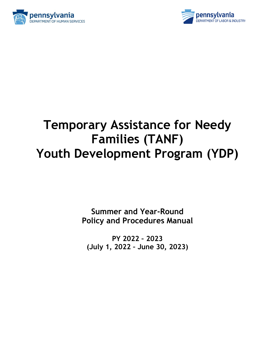



# **Temporary Assistance for Needy Families (TANF) Youth Development Program (YDP)**

**Summer and Year-Round Policy and Procedures Manual**

**PY 2022 – 2023 (July 1, 2022 – June 30, 2023)**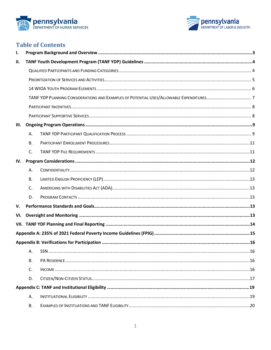



## **Table of Contents**

| Ι.   |           |  |  |  |  |  |  |
|------|-----------|--|--|--|--|--|--|
| П.   |           |  |  |  |  |  |  |
|      |           |  |  |  |  |  |  |
|      |           |  |  |  |  |  |  |
|      |           |  |  |  |  |  |  |
|      |           |  |  |  |  |  |  |
|      |           |  |  |  |  |  |  |
|      |           |  |  |  |  |  |  |
| III. |           |  |  |  |  |  |  |
|      | А.        |  |  |  |  |  |  |
|      | <b>B.</b> |  |  |  |  |  |  |
|      | C.        |  |  |  |  |  |  |
| IV.  |           |  |  |  |  |  |  |
|      | Α.        |  |  |  |  |  |  |
|      | <b>B.</b> |  |  |  |  |  |  |
|      | C.        |  |  |  |  |  |  |
|      | D.        |  |  |  |  |  |  |
| V.   |           |  |  |  |  |  |  |
| VI.  |           |  |  |  |  |  |  |
|      |           |  |  |  |  |  |  |
|      |           |  |  |  |  |  |  |
|      |           |  |  |  |  |  |  |
|      | Α.        |  |  |  |  |  |  |
|      | В.        |  |  |  |  |  |  |
|      | C.        |  |  |  |  |  |  |
|      | D.        |  |  |  |  |  |  |
|      |           |  |  |  |  |  |  |
|      | А.        |  |  |  |  |  |  |
|      | В.        |  |  |  |  |  |  |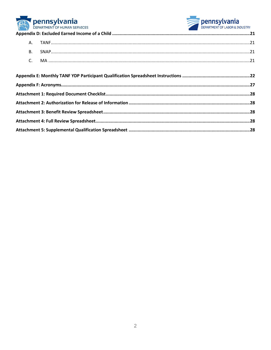



|  | DEPARTMENT OF HUMAN SERVICES | <b>DEPARTMENT OF LABOR &amp; INDUSTRY</b> |  |  |
|--|------------------------------|-------------------------------------------|--|--|
|  |                              |                                           |  |  |
|  |                              |                                           |  |  |
|  | <b>B.</b>                    |                                           |  |  |
|  |                              |                                           |  |  |
|  |                              |                                           |  |  |
|  |                              |                                           |  |  |
|  |                              |                                           |  |  |
|  |                              |                                           |  |  |
|  |                              |                                           |  |  |
|  |                              |                                           |  |  |
|  |                              |                                           |  |  |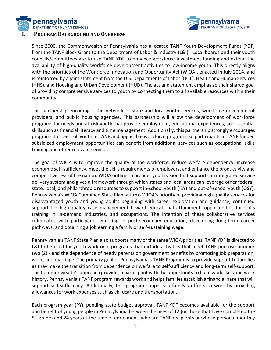



Since 2000, the Commonwealth of Pennsylvania has allocated TANF Youth Development Funds (YDF) from the TANF Block Grant to the Department of Labor & Industry (L&I). Local boards and their youth councils/committees are to use TANF YDF to enhance workforce investment funding and extend the availability of high-quality workforce development activities to low-income youth. This directly aligns with the priorities of the Workforce Innovation and Opportunity Act (WIOA), enacted in July 2014, and is reinforced by a joint statement from the U.S. Departments of Labor (DOL), Health and Human Services (HHS), and Housing and Urban Development (HUD). The act and statement emphasize their shared goal of providing comprehensive services to youth by connecting them to all available resources within their community.

This partnership encourages the network of state and local youth services, workforce development providers, and public housing agencies. This partnership will allow the development of workforce programs for needy and at-risk youth that provide employment, educational experiences, and essential skills such as financial literacy and time management. Additionally, this partnership strongly encourages programs to co-enroll youth in TANF and applicable workforce programs so participants in TANF funded subsidized employment opportunities can benefit from additional services such as occupational skills training and other relevant services.

The goal of WIOA is to improve the quality of the workforce, reduce welfare dependency, increase economic self-sufficiency, meet the skills requirements of employers, and enhance the productivity and competitiveness of the nation. WIOA outlines a broader youth vision that supports an integrated service delivery system and gives a framework through which states and local areas can leverage other federal, state, local, and philanthropic resources to support in-school youth (ISY) and out-of-school youth (OSY). Pennsylvania's WIOA Combined State Plan, affirms WIOA's priority of providing high-quality services for disadvantaged youth and young adults beginning with career exploration and guidance, continued support for high-quality case management toward educational attainment, opportunities for skills training in in-demand industries, and occupations. The intention of these collaborative services culminates with participants enrolling in post-secondary education, developing long-term career pathways, and obtaining a job earning a family or self-sustaining wage.

Pennsylvania's TANF State Plan also supports many of the same WIOA priorities. TANF YDF is directed to L&I to be used for youth workforce programs that include activities that meet TANF purpose number two (2) - end the dependence of needy parents on government benefits by promoting job preparation, work, and marriage. The primary goal of Pennsylvania's TANF Program is to provide support to families as they make the transition from dependence on welfare to self-sufficiency and long-term self-support. The Commonwealth's approach provides a participant with the opportunity to build work skills and work history. Pennsylvania's TANF program rewards work and helps families establish a financial base that will support self-sufficiency. Additionally, this program supports a family's efforts to work by providing allowances for work expenses such as childcare and transportation.

Each program year (PY), pending state budget approval, TANF YDF becomes available for the support and benefit of young people in Pennsylvania between the ages of 12 (or those that have completed the 5<sup>th</sup> grade) and 24 years at the time of enrollment, who are TANF recipients or whose personal monthly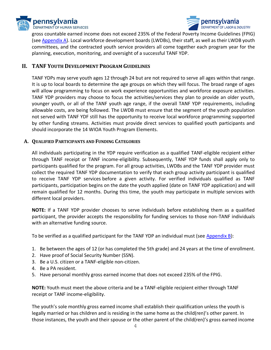



gross countable earned income does not exceed 235% of the Federal Poverty Income Guidelines (FPIG) (se[e Appendix A\)](#page-15-0). Local workforce development boards (LWDBs), their staff, as well as their LWDB youth committees, and the contracted youth service providers all come together each program year for the planning, execution, monitoring, and oversight of a successful TANF YDP.

#### **II. TANF YOUTH DEVELOPMENT PROGRAM GUIDELINES**

TANF YDPs may serve youth ages 12 through 24 but are not required to serve all ages within that range. It is up to local boards to determine the age groups on which they will focus. The broad range of ages will allow programming to focus on work experience opportunities and workforce exposure activities. TANF YDP providers may choose to focus the activities/services they plan to provide an older youth, younger youth, or all of the TANF youth age range, if the overall TANF YDP requirements, including allowable costs, are being followed. The LWDB must ensure that the segment of the youth population not served with TANF YDF still has the opportunity to receive local workforce programming supported by other funding streams. Activities must provide direct services to qualified youth participants and should incorporate the 14 WIOA Youth Program Elements.

#### **A. QUALIFIED PARTICIPANTS AND FUNDING CATEGORIES**

All individuals participating in the YDP require verification as a qualified TANF-eligible recipient either through TANF receipt or TANF income-eligibility. Subsequently, TANF YDP funds shall apply only to participants qualified for the program. For all group activities, LWDBs and the TANF YDP provider must collect the required TANF YDP documentation to verify that each group activity participant is qualified to receive TANF YDP services before a given activity. For verified individuals qualified as TANF participants, participation begins on the date the youth applied (date on TANF YDP application) and will remain qualified for 12 months. During this time, the youth may participate in multiple services with different local providers.

**NOTE:** If a TANF YDP provider chooses to serve individuals before establishing them as a qualified participant, the provider accepts the responsibility for funding services to those non-TANF individuals with an alternative funding source.

To be verified as a qualified participant for the TANF YDP an individual must (see [Appendix B\)](#page-15-1):

- 1. Be between the ages of 12 (or has completed the 5th grade) and 24 years at the time of enrollment.
- 2. Have proof of Social Security Number (SSN).
- 3. Be a U.S. citizen or a TANF-eligible non-citizen.
- 4. Be a PA resident.
- 5. Have personal monthly gross earned income that does not exceed 235% of the FPIG.

**NOTE:** Youth must meet the above criteria and be a TANF-eligible recipient either through TANF receipt or TANF income-eligibility.

The youth's sole monthly gross earned income shall establish their qualification unless the youth is legally married or has children and is residing in the same home as the child(ren)'s other parent. In those instances, the youth and their spouse or the other parent of the child(ren)'s gross earned income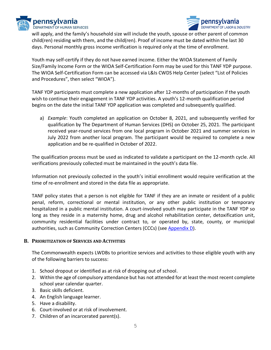



will apply, and the family's household size will include the youth, spouse or other parent of common child(ren) residing with them, and the child(ren). Proof of income must be dated within the last 30 days. Personal monthly gross income verification is required only at the time of enrollment.

Youth may self-certify if they do not have earned income. Either the WIOA Statement of Family Size/Family Income Form or the WIOA Self-Certification Form may be used for this TANF YDP purpose. The WIOA Self-Certification Form can be accessed via L&Is CWDS Help Center (select "List of Policies and Procedures", then select "WIOA").

TANF YDP participants must complete a new application after 12-months of participation if the youth wish to continue their engagement in TANF YDP activities. A youth's 12-month qualification period begins on the date the initial TANF YDP application was completed and subsequently qualified.

a) *Example*: Youth completed an application on October 8, 2021, and subsequently verified for qualification by The Department of Human Services (DHS) on October 25, 2021. The participant received year-round services from one local program in October 2021 and summer services in July 2022 from another local program. The participant would be required to complete a new application and be re-qualified in October of 2022.

The qualification process must be used as indicated to validate a participant on the 12-month cycle. All verifications previously collected must be maintained in the youth's data file.

Information not previously collected in the youth's initial enrollment would require verification at the time of re-enrollment and stored in the data file as appropriate.

TANF policy states that a person is not eligible for TANF if they are an inmate or resident of a public penal, reform, correctional or mental institution, or any other public institution or temporary hospitalized in a public mental institution. A court-involved youth may participate in the TANF YDP so long as they reside in a maternity home, drug and alcohol rehabilitation center, detoxification unit, community residential facilities under contract to, or operated by, state, county, or municipal authorities, such as Community Correction Centers (CCCs) (see [Appendix D](#page-15-1)).

#### **B. PRIORITIZATION OF SERVICES AND ACTIVITIES**

The Commonwealth expects LWDBs to prioritize services and activities to those eligible youth with any of the following barriers to success:

- 1. School dropout or identified as at risk of dropping out of school.
- 2. Within the age of compulsory attendance but has not attended for at least the most recent complete school year calendar quarter.
- 3. Basic skills deficient.
- 4. An English language learner.
- 5. Have a disability.
- 6. Court-involved or at risk of involvement.
- 7. Children of an incarcerated parent(s).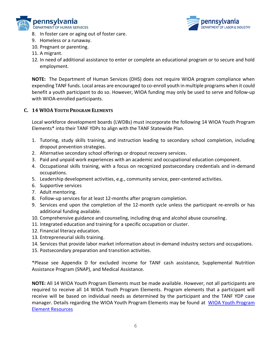



- 8. In foster care or aging out of foster care.
- 9. Homeless or a runaway.
- 10. Pregnant or parenting.
- 11. A migrant.
- 12. In need of additional assistance to enter or complete an educational program or to secure and hold employment.

**NOTE:** The Department of Human Services (DHS) does not require WIOA program compliance when expending TANF funds. Local areas are encouraged to co-enroll youth in multiple programs when it could benefit a youth participant to do so. However, WIOA funding may only be used to serve and follow-up with WIOA-enrolled participants.

#### **C. 14 WIOA YOUTH PROGRAM ELEMENTS**

Local workforce development boards (LWDBs) must incorporate the following 14 WIOA Youth Program Elements\* into their TANF YDPs to align with the TANF Statewide Plan.

- 1. Tutoring, study skills training, and instruction leading to secondary school completion, including dropout prevention strategies.
- 2. Alternative secondary school offerings or dropout recovery services.
- 3. Paid and unpaid work experiences with an academic and occupational education component.
- 4. Occupational skills training, with a focus on recognized postsecondary credentials and in-demand occupations.
- 5. Leadership development activities, e.g., community service, peer-centered activities.
- 6. Supportive services
- 7. Adult mentoring.
- 8. Follow-up services for at least 12-months after program completion.
- 9. Services end upon the completion of the 12-month cycle unless the participant re-enrolls or has additional funding available.
- 10. Comprehensive guidance and counseling, including drug and alcohol abuse counseling.
- 11. Integrated education and training for a specific occupation or cluster.
- 12. Financial literacy education.
- 13. Entrepreneurial skills training.
- 14. Services that provide labor market information about in-demand industry sectors and occupations.
- 15. Postsecondary preparation and transition activities.

\*Please see Appendix D for excluded income for TANF cash assistance, Supplemental Nutrition Assistance Program (SNAP), and Medical Assistance.

**NOTE:** All 14 WIOA Youth Program Elements must be made available. However, not all participants are required to receive all 14 WIOA Youth Program Elements. Program elements that a participant will receive will be based on individual needs as determined by the participant and the TANF YDP case manager. Details regarding the WIOA Youth Program Elements may be found at [WIOA Youth Program](https://youth.workforcegps.org/resources/2017/01/19/13/56/WIOA-Youth-Program-Element-Resources)  [Element Resources](https://youth.workforcegps.org/resources/2017/01/19/13/56/WIOA-Youth-Program-Element-Resources)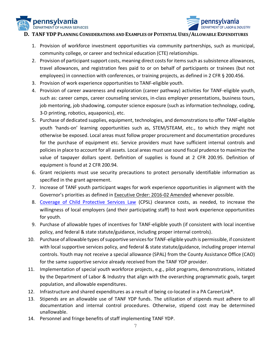



#### **D. TANF YDP PLANNING CONSIDERATIONS AND EXAMPLES OF POTENTIAL USES/ALLOWABLE EXPENDITURES**

- 1. Provision of workforce investment opportunities via community partnerships, such as municipal, community college, or career and technical education (CTE) relationships.
- 2. Provision of participant support costs, meaning direct costs for items such as subsistence allowances, travel allowances, and registration fees paid to or on behalf of participants or trainees (but not employees) in connection with conferences, or training projects, as defined in 2 CFR § 200.456.
- 3. Provision of work experience opportunities to TANF-eligible youth.
- 4. Provision of career awareness and exploration (career pathway) activities for TANF-eligible youth, such as: career camps, career counseling services, in-class employer presentations, business tours, job mentoring, job shadowing, computer science exposure (such as information technology, coding, 3-D printing, robotics, aquaponics), etc.
- 5. Purchase of dedicated supplies, equipment, technologies, and demonstrations to offer TANF-eligible youth 'hands-on' learning opportunities such as, STEM/STEAM, etc., to which they might not otherwise be exposed. Local areas must follow proper procurement and documentation procedures for the purchase of equipment etc. Service providers must have sufficient internal controls and policies in place to account for all assets. Local areas must use sound fiscal prudence to maximize the value of taxpayer dollars spent. Definition of supplies is found at 2 CFR 200.95. Definition of equipment is found at 2 CFR 200.94.
- 6. Grant recipients must use security precautions to protect personally identifiable information as specified in the grant agreement.
- 7. Increase of TANF youth participant wages for work experience opportunities in alignment with the Governor's priorities as defined in [Executive Order: 2016-02 Amended](https://www.governor.pa.gov/wp-content/uploads/2022/01/20220125-EO-2016-02-Amended.pdf) whenever possible.
- 8. [Coverage of Child Protective Services Law](https://www.dhs.pa.gov/KeepKidsSafe/Clearances/Documents/Employees%20having%20contact%20with%20children.pdf) (CPSL) clearance costs, as needed, to increase the willingness of local employers (and their participating staff) to host work experience opportunities for youth.
- 9. Purchase of allowable types of incentives for TANF-eligible youth (if consistent with local incentive policy, and federal & state statute/guidance, including proper internal controls).
- 10. Purchase of allowable types of supportive services for TANF-eligible youth is permissible, if consistent with local supportive services policy, and federal & state statute/guidance, including proper internal controls. Youth may not receive a special allowance (SPAL) from the County Assistance Office (CAO) for the same supportive service already received from the TANF YDP provider.
- 11. Implementation of special youth workforce projects, e.g., pilot programs, demonstrations, initiated by the Department of Labor & Industry that align with the overarching programmatic goals, target population, and allowable expenditures.
- 12. Infrastructure and shared expenditures as a result of being co-located in a PA CareerLink®.
- 13. Stipends are an allowable use of TANF YDP funds. The utilization of stipends must adhere to all documentation and internal control procedures. Otherwise, stipend cost may be determined unallowable.
- 14. Personnel and fringe benefits of staff implementing TANF YDP.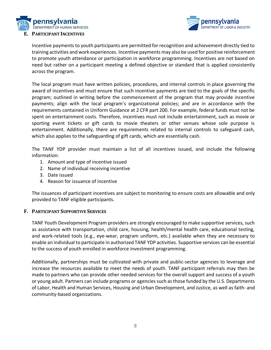



Incentive payments to youth participants are permitted for recognition and achievement directly tied to training activities and work experiences. Incentive payments may also be used for positive reinforcement to promote youth attendance or participation in workforce programming. Incentives are not based on need but rather on a participant meeting a defined objective or standard that is applied consistently across the program.

The local program must have written policies, procedures, and internal controls in place governing the award of incentives and must ensure that such incentive payments are tied to the goals of the specific program; outlined in writing before the commencement of the program that may provide incentive payments; align with the local program's organizational policies; and are in accordance with the requirements contained in Uniform Guidance at 2 CFR part 200. For example, federal funds must not be spent on entertainment costs. Therefore, incentives must not include entertainment, such as movie or sporting event tickets or gift cards to movie theaters or other venues whose sole purpose is entertainment. Additionally, there are requirements related to internal controls to safeguard cash, which also applies to the safeguarding of gift cards, which are essentially cash.

The TANF YDP provider must maintain a list of all incentives issued, and include the following information:

- 1. Amount and type of incentive issued
- 2. Name of individual receiving incentive
- 3. Date issued
- 4. Reason for issuance of incentive

The issuances of participant incentives are subject to monitoring to ensure costs are allowable and only provided to TANF eligible participants.

#### **F. PARTICIPANT SUPPORTIVE SERVICES**

TANF Youth Development Program providers are strongly encouraged to make supportive services, such as assistance with transportation, child care, housing, health/mental health care, educational testing, and work-related tools (e.g., eye-wear, program uniform, etc.) available when they are necessary to enable an individual to participate in authorized TANF YDP activities. Supportive services can be essential to the success of youth enrolled in workforce investment programming.

Additionally, partnerships must be cultivated with private and public-sector agencies to leverage and increase the resources available to meet the needs of youth. TANF participant referrals may then be made to partners who can provide other needed services for the overall support and success of a youth or young adult. Partners can include programs or agencies such as those funded by the U.S. Departments of Labor, Health and Human Services, Housing and Urban Development, and Justice, as well as faith- and community-based organizations.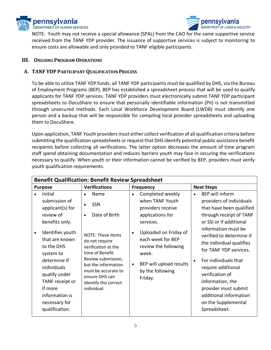



NOTE: Youth may not receive a special allowance (SPAL) from the CAO for the same supportive service received from the TANF YDP provider. The issuance of supportive services is subject to monitoring to ensure costs are allowable and only provided to TANF eligible participants.

#### **III. ONGOING PROGRAM OPERATIONS**

#### **A. TANF YDP PARTICIPANT QUALIFICATION PROCESS**

To be able to utilize TANF YDP funds, all TANF YDP participants must be qualified by DHS, via the Bureau of Employment Programs (BEP). BEP has established a spreadsheet process that will be used to qualify applicants for TANF YDP services. TANF YDP providers must electronically submit TANF YDP participant spreadsheets to DocuShare to ensure that personally identifiable information (PII) is not transmitted through unsecured methods. Each Local Workforce Development Board (LWDB) must identify one person and a backup that will be responsible for compiling local provider spreadsheets and uploading them to DocuShare.

Upon application, TANF Youth providers must either collect verification of all qualification criteria before submitting the qualification spreadsheets or request that DHS identify potential public assistance benefit recipients before collecting all verifications. The latter option decreases the amount of time program staff spend obtaining documentation and reduces barriers youth may face in securing the verifications necessary to qualify. When youth or their information cannot be verified by BEP, providers must verify youth qualification requirements.

| <b>Benefit Qualification: Benefit Review Spreadsheet</b> |                                                                                                                                                                                                                                                                                 |                                                                                                                                                                                                                                                                      |                                                                                                                                                                                                                                                                           |                                                                                                                                                                                                                                                                                                                                                                                                                                   |
|----------------------------------------------------------|---------------------------------------------------------------------------------------------------------------------------------------------------------------------------------------------------------------------------------------------------------------------------------|----------------------------------------------------------------------------------------------------------------------------------------------------------------------------------------------------------------------------------------------------------------------|---------------------------------------------------------------------------------------------------------------------------------------------------------------------------------------------------------------------------------------------------------------------------|-----------------------------------------------------------------------------------------------------------------------------------------------------------------------------------------------------------------------------------------------------------------------------------------------------------------------------------------------------------------------------------------------------------------------------------|
| <b>Purpose</b>                                           |                                                                                                                                                                                                                                                                                 | <b>Verifications</b>                                                                                                                                                                                                                                                 | <b>Frequency</b>                                                                                                                                                                                                                                                          | <b>Next Steps</b>                                                                                                                                                                                                                                                                                                                                                                                                                 |
| $\bullet$                                                | Initial<br>submission of<br>applicant(s) for<br>review of<br>benefits only.<br>Identifies youth<br>that are known<br>to the DHS<br>system to<br>determine if<br>individuals<br>qualify under<br>TANF receipt or<br>if more<br>information is<br>necessary for<br>qualification. | Name<br>SSN<br>$\bullet$<br>Date of Birth<br>$\bullet$<br>NOTE: These items<br>do not require<br>verification at the<br>time of Benefit<br>Review submission,<br>but the information<br>must be accurate to<br>ensure DHS can<br>identify the correct<br>individual. | Completed weekly<br>$\bullet$<br>when TANF Youth<br>providers receive<br>applications for<br>services.<br>Uploaded on Friday of<br>$\bullet$<br>each week for BEP<br>review the following<br>week.<br>BEP will upload results<br>$\bullet$<br>by the following<br>Friday. | BEP will inform<br>$\bullet$<br>providers of individuals<br>that have been qualified<br>through receipt of TANF<br>or SSI or if additional<br>information must be<br>verified to determine if<br>the individual qualifies<br>for TANF YDP services.<br>For individuals that<br>require additional<br>verification of<br>information, the<br>provider must submit<br>additional information<br>on the Supplemental<br>Spreadsheet. |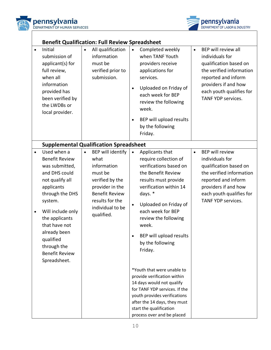



|                        | <b>Benefit Qualification: Full Review Spreadsheet</b>                                                                                                                                                                                                                               |           |                                                                                                                                                                                |                                     |                                                                                                                                                                                                                                                                                                |           |                                                                                                                                                                                                  |
|------------------------|-------------------------------------------------------------------------------------------------------------------------------------------------------------------------------------------------------------------------------------------------------------------------------------|-----------|--------------------------------------------------------------------------------------------------------------------------------------------------------------------------------|-------------------------------------|------------------------------------------------------------------------------------------------------------------------------------------------------------------------------------------------------------------------------------------------------------------------------------------------|-----------|--------------------------------------------------------------------------------------------------------------------------------------------------------------------------------------------------|
| $\bullet$              | Initial<br>submission of<br>applicant(s) for<br>full review,<br>when all<br>information<br>provided has<br>been verified by<br>the LWDBs or<br>local provider.                                                                                                                      | $\bullet$ | All qualification<br>information<br>must be<br>verified prior to<br>submission.                                                                                                | $\bullet$<br>$\bullet$<br>$\bullet$ | Completed weekly<br>when TANF Youth<br>providers receive<br>applications for<br>services.<br>Uploaded on Friday of<br>each week for BEP<br>review the following<br>week.<br>BEP will upload results<br>by the following<br>Friday.                                                             | $\bullet$ | BEP will review all<br>individuals for<br>qualification based on<br>the verified information<br>reported and inform<br>providers if and how<br>each youth qualifies for<br>TANF YDP services.    |
|                        | <b>Supplemental Qualification Spreadsheet</b>                                                                                                                                                                                                                                       |           |                                                                                                                                                                                |                                     |                                                                                                                                                                                                                                                                                                |           |                                                                                                                                                                                                  |
| $\bullet$<br>$\bullet$ | Used when a<br><b>Benefit Review</b><br>was submitted,<br>and DHS could<br>not qualify all<br>applicants<br>through the DHS<br>system.<br>Will include only<br>the applicants<br>that have not<br>already been<br>qualified<br>through the<br><b>Benefit Review</b><br>Spreadsheet. |           | <b>BEP</b> will identify<br>what<br>information<br>must be<br>verified by the<br>provider in the<br><b>Benefit Review</b><br>results for the<br>individual to be<br>qualified. | $\bullet$<br>$\bullet$              | Applicants that<br>require collection of<br>verifications based on<br>the Benefit Review<br>results must provide<br>verification within 14<br>days. *<br>Uploaded on Friday of<br>each week for BEP<br>review the following<br>week.<br>BEP will upload results<br>by the following<br>Friday. | $\bullet$ | <b>BEP</b> will review<br>individuals for<br>qualification based on<br>the verified information<br>reported and inform<br>providers if and how<br>each youth qualifies for<br>TANF YDP services. |
|                        |                                                                                                                                                                                                                                                                                     |           |                                                                                                                                                                                |                                     | *Youth that were unable to<br>provide verification within<br>14 days would not qualify<br>for TANF YDP services. If the<br>youth provides verifications<br>after the 14 days, they must<br>start the qualification<br>process over and be placed                                               |           |                                                                                                                                                                                                  |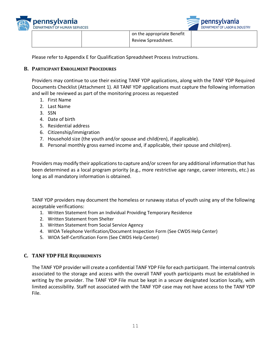



Please refer to Appendix E for Qualification Spreadsheet Process Instructions.

#### **B. PARTICIPANT ENROLLMENT PROCEDURES**

Providers may continue to use their existing TANF YDP applications, along with the TANF YDP Required Documents Checklist (Attachment 1). All TANF YDP applications must capture the following information and will be reviewed as part of the monitoring process as requested

- 1. First Name
- 2. Last Name
- 3. SSN
- 4. Date of birth
- 5. Residential address
- 6. Citizenship/immigration
- 7. Household size (the youth and/or spouse and child(ren), if applicable).
- 8. Personal monthly gross earned income and, if applicable, their spouse and child(ren).

Providers may modify their applications to capture and/or screen for any additional information that has been determined as a local program priority (e.g., more restrictive age range, career interests, etc.) as long as all mandatory information is obtained.

TANF YDP providers may document the homeless or runaway status of youth using any of the following acceptable verifications:

- 1. Written Statement from an Individual Providing Temporary Residence
- 2. Written Statement from Shelter
- 3. Written Statement from Social Service Agency
- 4. WIOA Telephone Verification/Document Inspection Form (See CWDS Help Center)
- 5. WIOA Self-Certification Form (See CWDS Help Center)

#### **C. TANF YDP FILE REQUIREMENTS**

The TANF YDP provider will create a confidential TANF YDP File for each participant. The internal controls associated to the storage and access with the overall TANF youth participants must be established in writing by the provider. The TANF YDP File must be kept in a secure designated location locally, with limited accessibility. Staff not associated with the TANF YDP case may not have access to the TANF YDP File.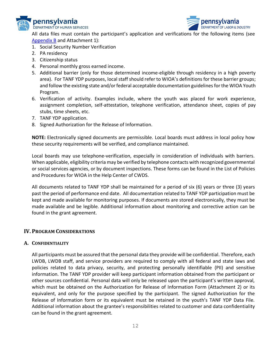



All data files must contain the participant's application and verifications for the following items (see [Appendix B](#page-15-1) and Attachment 1):

- 1. Social Security Number Verification
- 2. PA residency
- 3. Citizenship status
- 4. Personal monthly gross earned income.
- 5. Additional barrier (only for those determined income-eligible through residency in a high poverty area). For TANF YDP purposes, local staff should refer to WIOA's definitions for these barrier groups; and follow the existing state and/or federal acceptable documentation guidelines for the WIOA Youth Program.
- 6. Verification of activity. Examples include, where the youth was placed for work experience, assignment completion, self-attestation, telephone verification, attendance sheet, copies of pay stubs, time sheets, etc.
- 7. TANF YDP application.
- 8. Signed Authorization for the Release of Information.

**NOTE:** Electronically signed documents are permissible. Local boards must address in local policy how these security requirements will be verified, and compliance maintained.

Local boards may use telephone-verification, especially in consideration of individuals with barriers. When applicable, eligibility criteria may be verified by telephone contacts with recognized governmental or social services agencies, or by document inspections. These forms can be found in the List of Policies and Procedures for WIOA in the Help Center of CWDS.

All documents related to TANF YDP shall be maintained for a period of six (6) years or three (3) years past the period of performance end date. All documentation related to TANF YDP participation must be kept and made available for monitoring purposes. If documents are stored electronically, they must be made available and be legible. Additional information about monitoring and corrective action can be found in the grant agreement.

#### **IV. PROGRAM CONSIDERATIONS**

#### **A. CONFIDENTIALITY**

All participants must be assured that the personal data they provide will be confidential. Therefore, each LWDB, LWDB staff, and service providers are required to comply with all federal and state laws and policies related to data privacy, security, and protecting personally identifiable (PII) and sensitive information. The TANF YDP provider will keep participant information obtained from the participant or other sources confidential. Personal data will only be released upon the participant's written approval, which must be obtained on the Authorization for Release of Information Form (Attachment 2) or its equivalent, and only for the purpose specified by the participant. The signed Authorization for the Release of Information form or its equivalent must be retained in the youth's TANF YDP Data File. Additional information about the grantee's responsibilities related to customer and data confidentiality can be found in the grant agreement.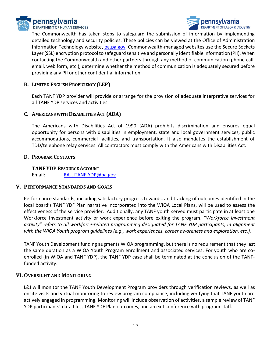



The Commonwealth has taken steps to safeguard the submission of information by implementing detailed technology and security policies. These policies can be viewed at the Office of Administration Information Technology website, [oa.pa.gov.](https://www.oa.pa.gov/Pages/default.aspx) Commonwealth-managed websites use the Secure Sockets Layer (SSL) encryption protocol to safeguard sensitive and personally identifiable information (PII). When contacting the Commonwealth and other partners through any method of communication (phone call, email, web form, etc.), determine whether the method of communication is adequately secured before providing any PII or other confidential information.

#### **B. LIMITED ENGLISH PROFICIENCY (LEP)**

Each TANF YDP provider will provide or arrange for the provision of adequate interpretive services for all TANF YDP services and activities.

#### **C**. **AMERICANS WITH DISABILITIES ACT (ADA)**

The Americans with Disabilities Act of 1990 (ADA) prohibits discrimination and ensures equal opportunity for persons with disabilities in employment, state and local government services, public accommodations, commercial facilities, and transportation. It also mandates the establishment of TDD/telephone relay services. All contractors must comply with the Americans with Disabilities Act.

#### **D. PROGRAM CONTACTS**

**TANF YDP RESOURCE ACCOUNT** Email: [RA-LITANF-YDP@pa.gov](mailto:RA-LITANF-YDP@pa.gov)

#### **V. PERFORMANCE STANDARDS AND GOALS**

Performance standards, including satisfactory progress towards, and tracking of outcomes identified in the local board's TANF YDF Plan narrative incorporated into the WIOA Local Plans, will be used to assess the effectiveness of the service provider. Additionally, any TANF youth served must participate in at least one Workforce Investment activity or work experience before exiting the program. "*Workforce Investment activity" refers to all workforce-related programming designated for TANF YDP participants, in alignment with the WIOA Youth program guidelines (e.g., work experiences, career awareness and exploration, etc.).*

TANF Youth Development funding augments WIOA programming, but there is no requirement that they last the same duration as a WIOA Youth Program enrollment and associated services. For youth who are coenrolled (in WIOA and TANF YDP), the TANF YDP case shall be terminated at the conclusion of the TANFfunded activity.

#### **VI. OVERSIGHT AND MONITORING**

L&I will monitor the TANF Youth Development Program providers through verification reviews, as well as onsite visits and virtual monitoring to review program compliance, including verifying that TANF youth are actively engaged in programming. Monitoring will include observation of activities, a sample review of TANF YDP participants' data files, TANF YDF Plan outcomes, and an exit conference with program staff.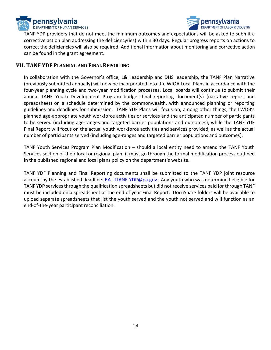



TANF YDP providers that do not meet the minimum outcomes and expectations will be asked to submit a corrective action plan addressing the deficiency(ies) within 30 days. Regular progress reports on actions to correct the deficiencies will also be required. Additional information about monitoring and corrective action can be found in the grant agreement.

#### **VII. TANF YDF PLANNING AND FINAL REPORTING**

In collaboration with the Governor's office, L&I leadership and DHS leadership, the TANF Plan Narrative (previously submitted annually) will now be incorporated into the WIOA Local Plans in accordance with the four-year planning cycle and two-year modification processes. Local boards will continue to submit their annual TANF Youth Development Program budget final reporting document(s) (narrative report and spreadsheet) on a schedule determined by the commonwealth, with announced planning or reporting guidelines and deadlines for submission. TANF YDF Plans will focus on, among other things, the LWDB's planned age-appropriate youth workforce activities or services and the anticipated number of participants to be served (including age-ranges and targeted barrier populations and outcomes); while the TANF YDF Final Report will focus on the actual youth workforce activities and services provided, as well as the actual number of participants served (including age-ranges and targeted barrier populations and outcomes).

TANF Youth Services Program Plan Modification – should a local entity need to amend the TANF Youth Services section of their local or regional plan, it must go through the formal modification process outlined in the published regional and local plans policy on the department's website.

TANF YDF Planning and Final Reporting documents shall be submitted to the TANF YDP joint resource account by the established deadline: [RA-LITANF-YDP@pa.gov.](mailto:RA-LITANF-YDP@pa.gov) Any youth who was determined eligible for TANF YDP services through the qualification spreadsheets but did not receive services paid for through TANF must be included on a spreadsheet at the end of year Final Report. DocuShare folders will be available to upload separate spreadsheets that list the youth served and the youth not served and will function as an end-of-the-year participant reconciliation.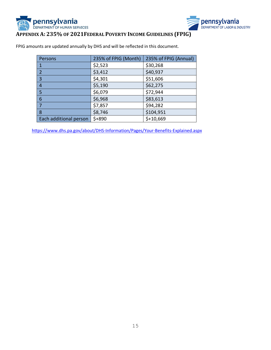



### <span id="page-15-0"></span>**APPENDIX A: 235% OF 2021FEDERAL POVERTY INCOME GUIDELINES (FPIG)**

FPIG amounts are updated annually by DHS and will be reflected in this document.

| Persons                  | 235% of FPIG (Month) | 235% of FPIG (Annual) |
|--------------------------|----------------------|-----------------------|
|                          | \$2,523              | \$30,268              |
| $\overline{\phantom{a}}$ | \$3,412              | \$40,937              |
| 3                        | \$4,301              | \$51,606              |
| 4                        | \$5,190              | \$62,275              |
| 5                        | \$6,079              | \$72,944              |
| 6                        | \$6,968              | \$83,613              |
|                          | \$7,857              | \$94,282              |
| 8                        | \$8,746              | \$104,951             |
| Each additional person   | $$+890$              | $$+10,669$            |

<span id="page-15-1"></span><https://www.dhs.pa.gov/about/DHS-Information/Pages/Your-Benefits-Explained.aspx>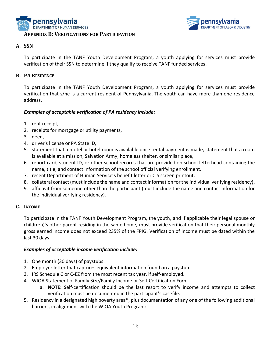



#### **A. SSN**

To participate in the TANF Youth Development Program, a youth applying for services must provide verification of their SSN to determine if they qualify to receive TANF funded services.

#### **B. PA RESIDENCE**

To participate in the TANF Youth Development Program, a youth applying for services must provide verification that s/he is a current resident of Pennsylvania. The youth can have more than one residence address.

#### *Examples of acceptable verification of PA residency include:*

- 1. rent receipt,
- 2. receipts for mortgage or utility payments,
- 3. deed,
- 4. driver's license or PA State ID,
- 5. statement that a motel or hotel room is available once rental payment is made, statement that a room is available at a mission, Salvation Army, homeless shelter, or similar place,
- 6. report card, student ID, or other school records that are provided on school letterhead containing the name, title, and contact information of the school official verifying enrollment.
- 7. recent Department of Human Service's benefit letter or CIS screen printout,
- 8. collateral contact (must include the name and contact information for the individual verifying residency),
- 9. affidavit from someone other than the participant (must include the name and contact information for the individual verifying residency).

#### **C. INCOME**

To participate in the TANF Youth Development Program, the youth, and if applicable their legal spouse or child(ren)'s other parent residing in the same home, must provide verification that their personal monthly gross earned income does not exceed 235% of the FPIG. Verification of income must be dated within the last 30 days.

#### *Examples of acceptable income verification include:*

- 1. One month (30 days) of paystubs.
- 2. Employer letter that captures equivalent information found on a paystub.
- 3. IRS Schedule C or C-EZ from the most recent tax year, if self-employed.
- 4. WIOA Statement of Family Size/Family Income or Self-Certification Form.
	- a. **NOTE:** Self-certification should be the last resort to verify income and attempts to collect verification must be documented in the participant's casefile.
- 5. Residency in a designated high poverty area**\***, plus documentation of any one of the following additional barriers, in alignment with the WIOA Youth Program: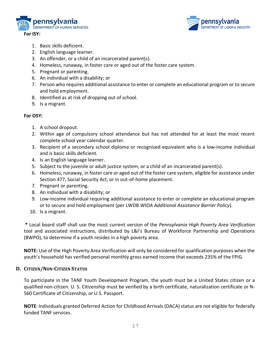



- 1. Basic skills deficient.
- 2. English language learner.
- 3. An offender, or a child of an incarcerated parent(s).
- 4. Homeless, runaway, in foster care or aged out of the foster care system.
- 5. Pregnant or parenting.
- 6. An individual with a disability; or
- 7. Person who requires additional assistance to enter or complete an educational program or to secure and hold employment.
- 8. Identified as at risk of dropping out of school.
- 9. Is a migrant.

#### **For OSY:**

- 1. A school dropout.
- 2. Within age of compulsory school attendance but has not attended for at least the most recent complete school year calendar quarter.
- 3. Recipient of a secondary school diploma or recognized equivalent who is a low-income individual and is basic skills deficient.
- 4. Is an English language learner.
- 5. Subject to the juvenile or adult justice system, or a child of an incarcerated parent(s).
- 6. Homeless, runaway, in foster care or aged out of the foster care system, eligible for assistance under Section 477, Social Security Act, or in out-of-home placement.
- 7. Pregnant or parenting.
- 8. An individual with a disability; or
- 9. Low-income individual requiring additional assistance to enter or complete an educational program or to secure and hold employment (per LWDB *WIOA Additional Assistance Barrier Policy*).
- 10. Is a migrant.

**\*** Local board staff shall use the most current version of the *Pennsylvania High Poverty Area Verification* tool and associated instructions, distributed by L&I's Bureau of Workforce Partnership and Operations (BWPO), to determine if a youth resides in a high poverty area.

**NOTE:** Use of the High Poverty Area Verification will only be considered for qualification purposes when the youth's household has verified personal monthly gross earned income that exceeds 235% of the FPIG.

#### **D. CITIZEN/NON-CITIZEN STATUS**

To participate in the TANF Youth Development Program, the youth must be a United States citizen or a qualified non-citizen. U. S. Citizenship must be verified by a birth certificate, naturalization certificate or N-560 Certificate of Citizenship, or U.S. Passport.

**NOTE**: Individuals granted Deferred Action for Childhood Arrivals (DACA) status are not eligible for federally funded TANF services.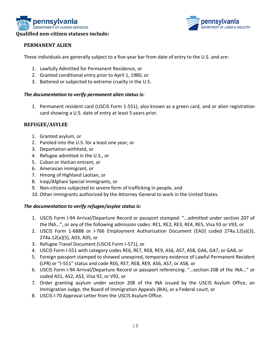



#### **PERMANENT ALIEN**

These individuals are generally subject to a five-year bar from date of entry to the U.S. and are:

- 1. Lawfully Admitted for Permanent Residence, or
- 2. Granted conditional entry prior to April 1, 1980, or
- 3. Battered or subjected to extreme cruelty in the U.S.

#### *The documentation to verify permanent alien status is:*

1. Permanent resident card (USCIS Form 1-551), also known as a green card, and or alien registration card showing a U.S. date of entry at least 5 years prior.

#### **REFUGEE/ASYLEE**

- 1. Granted asylum, or
- 2. Paroled into the U.S. for a least one year, or
- 3. Deportation withheld, or
- 4. Refugee admitted in the U.S., or
- 5. Cuban or Haitian entrant, or
- 6. Amerasian immigrant, or
- 7. Hmong of Highland Laotian, or
- 8. Iraqi/Afghani Special Immigrants, or
- 9. Non-citizens subjected to severe form of trafficking in people, and
- 10. Other immigrants authorized by the Attorney General to work in the United States.

#### *The documentation to verify refugee/asylee status is:*

- 1. USCIS Form I-94 Arrival/Departure Record or passport stamped: "…admitted under section 207 of the INA…", or any of the following admission codes: RE1, RE2, RE3, RE4, RE5, Visa 93 or V93, or
- 2. USCIS Form 1-688B or I-766 Employment Authorization Document (EAD) coded 274a.12(a)(3), 274a.12(a)(5), A03, A05, or
- 3. Refugee Travel Document (USCIS Form I-571), or
- 4. USCIS Form I-551 with category codes RE6, RE7, RE8, RE9, AS6, AS7, AS8, GA6, GA7, or GA8, or
- 5. Foreign passport stamped to showed unexpired, temporary evidence of Lawful Permanent Resident (LPR) or "I-551" status and code RE6, RE7, RE8, RE9, AS6, AS7, or AS8, or
- 6. USCIS Form I-94 Arrival/Departure Record or passport referencing: "…section 208 of the INA…" or coded AS1, AS2, AS3, Visa 92, or V92, or
- 7. Order granting asylum under section 208 of the INA issued by the USCIS Asylum Office, an Immigration Judge, the Board of Immigration Appeals (BIA), or a Federal court, or
- 8. USCIS I-70 Approval Letter from the USCIS Asylum Office.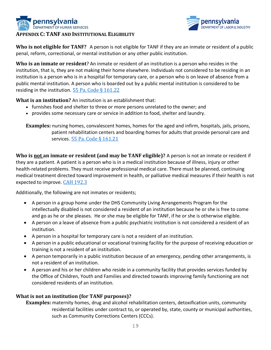



**Who is not eligible for TANF?** A person is not eligible for [TANF](javascript:void(0);) if they are an [inmate](javascript:void(0);) or resident of a public penal, reform, correctional, or mental institution or any other public institution.

**Who is an inmate or resident**? An inmate or resident of an institution is a person who resides in the institution, that is, they are not making their home elsewhere. Individuals not considered to be residing in an institution is a person who is in a hospital for temporary care, or a person who is on leave of absence from a public mental institution. A person who is boarded out by a public mental institution is considered to be residing in the institution. 55 Pa. Code  $\S$  161.22

**What is an institution?** An institution is an establishment that:

- furnishes food and shelter to three or more persons unrelated to the owner; and
- provides some necessary care or service in addition to food, shelter and laundry.

**Examples:** nursing homes, convalescent homes, homes for the aged and infirm, hospitals, jails, prisons, [patient](javascript:void(0);) rehabilitation centers and boarding homes for adults that provide personal care and services. [55 Pa. Code § 161.21](http://www.pacodeandbulletin.gov/Display/pacode?file=/secure/pacode/data/055/chapter161/s161.21.html&d=reduce)

**Who is not an inmate or resident (and may be TANF eligible)?** A person is not an inmate or resident if they are a patient. A patient is a person who is in a medical institution because of illness, injury or other health-related problems. They must receive professional medical care. There must be planned, continuing medical treatment directed toward improvement in health, or palliative medical measures if their health is not expected to improve. CAH 192.3

Additionally, the following are not inmates or residents;

- A person in a group home under the DHS Community Living Arrangements Program for the intellectually disabled is not considered a resident of an institution because he or she is free to come and go as he or she pleases. He or she may be eligible for [TANF,](javascript:BSSCPopup() if he or she is otherwise eligible.
- A person on a leave of absence from a public psychiatric institution is not considered a resident of an institution.
- A person in a hospital for temporary care is not a resident of an institution.
- A person in a public educational or vocational training facility for the purpose of receiving education or training is not a resident of an institution.
- A person temporarily in a public institution because of an emergency, pending other arrangements, is not a resident of an institution.
- A person and his or her children who reside in a community facility that provides services funded by the Office of Children, Youth and Families and directed towards improving family functioning are not considered residents of an institution.

#### **What is not an institution (for TANF purposes)?**

**Examples:** maternity homes, drug and alcohol rehabilitation centers, detoxification units, community residential facilities under contract to, or operated by, state, county or municipal authorities, such as Community Corrections Centers (CCCs).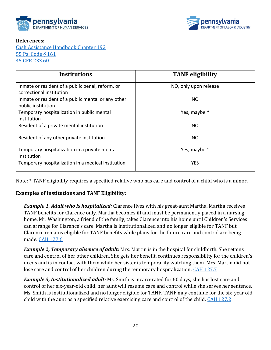



#### **References:**

[Cash Assistance Handbook Chapter 192](http://services.dpw.state.pa.us/oimpolicymanuals/cash/192_Institutions/192_Title.htm) [55 Pa. Code § 161](http://www.pacode.com/secure/data/055/chapter161/chap161toc.html) [45 CFR 233.60](https://www.ecfr.gov/cgi-bin/text-idx?SID=b483f489f5246ec09542b7f98902776b&mc=true&node=se45.2.233_160&rgn=div8)

| <b>Institutions</b>                                                          | <b>TANF</b> eligibility |
|------------------------------------------------------------------------------|-------------------------|
| Inmate or resident of a public penal, reform, or<br>correctional institution | NO, only upon release   |
| Inmate or resident of a public mental or any other<br>public institution     | NO.                     |
| Temporary hospitalization in public mental<br>institution                    | Yes, maybe *            |
| Resident of a private mental institution                                     | <b>NO</b>               |
| Resident of any other private institution                                    | NO.                     |
| Temporary hospitalization in a private mental<br>institution                 | Yes, maybe *            |
| Temporary hospitalization in a medical institution                           | <b>YES</b>              |

Note: \* TANF eligibility requires a specified relative who has care and control of a child who is a minor.

#### **Examples of Institutions and TANF Eligibility:**

*Example 1, Adult who is hospitalized:* Clarence lives with his great-aunt Martha. Martha receives TANF benefits for Clarence only. Martha becomes ill and must be permanently placed in a nursing home. Mr. Washington, a friend of the family, takes Clarence into his home until Children's Services can arrange for Clarence's care. Martha is institutionalized and no longer eligible for TANF but Clarence remains eligible for TANF benefits while plans for the future care and control are being made. [CAH 127.6](http://services.dpw.state.pa.us/oimpolicymanuals/cash/index.htm#t=127_Specified_Relatives%2F127_6_Exception_to_Living_with_a_Specified_Relative.htm)

*Example 2, Temporary absence of adult:* Mrs. Martin is in the hospital for childbirth. She retains care and control of her other children. She gets her benefit, continues responsibility for the children's needs and is in contact with them while her sister is temporarily watching them. Mrs. Martin did not lose care and control of her children during the temporary hospitalization. [CAH 127.7](http://services.dpw.state.pa.us/oimpolicymanuals/cash/index.htm#t=127_Specified_Relatives%2F127_7_Temporary_Absence_of_the_TANF_Child_or_Specified_Relat.htm)

*Example 3, Institutionalized adult:* Ms. Smith is incarcerated for 60 days, she has lost care and control of her six-year-old child, her aunt will resume care and control while she serves her sentence. Ms. Smith is institutionalized and no longer eligible for TANF. TANF may continue for the six-year old child with the aunt as a specified relative exercising care and control of the child. [CAH 127.2](http://services.dpw.state.pa.us/oimpolicymanuals/cash/index.htm#t=127_Specified_Relatives%2F127_2_Specified_Relative_Requirements.htm)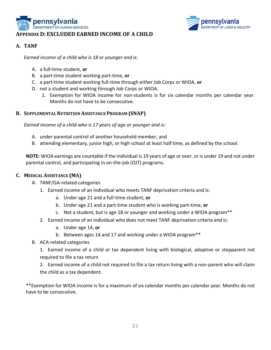



#### **A. TANF**

*Earned income of a child who is 18 or younger and is:*

- A. a full-time student, **or**
- B. a part-time student working part-time, **or**
- C. a part-time student working full-time through either Job Corps or WIOA, **or**
- D. not a student and working through Job Corps or WIOA.
	- 1. Exemption for WIOA income for non-students is for six calendar months per calendar year. Months do not have to be consecutive.

#### **B. SUPPLEMENTAL NUTRITION ASSISTANCE PROGRAM (SNAP)**

*Earned income of a child who is 17 years of age or younger and is:*

- A. under parental control of another household member, and
- B. attending elementary, junior high, or high school at least half time, as defined by the school.

**NOTE:** WIOA earnings are countable if the individual is 19 years of age or over, or is under 19 and not under parental control, and participating in on-the-job (OJT) programs.

#### **C. MEDICAL ASSISTANCE (MA)**

- A. TANF/GA-related categories
	- 1. Earned income of an individual who meets TANF deprivation criteria and is:
		- a. Under age 21 and a full-time student, **or**
		- b. Under age 21 and a part-time student who is working part-time, **or**
		- c. Not a student, but is age 18 or younger and working under a WIOA program\*\*
	- 2. Earned income of an individual who does not meet TANF deprivation criteria and is:
		- a. Under age 14, **or**
		- b. Between ages 14 and 17 and working under a WIOA program\*\*
- B. ACA-related categories

1. Earned income of a child or tax dependent living with biological, adoptive or stepparent not required to file a tax return

2. Earned income of a child not required to file a tax return living with a non-parent who will claim the child as a tax dependent.

\*\*Exemption for WIOA income is for a maximum of six calendar months per calendar year. Months do not have to be consecutive.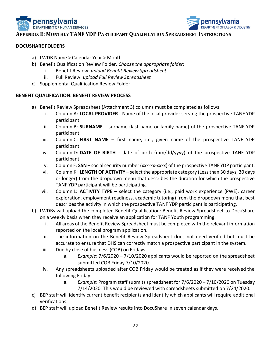



#### **APPENDIX E: MONTHLY TANF YDP PARTICIPANT QUALIFICATION SPREADSHEET INSTRUCTIONS**

#### **DOCUSHARE FOLDERS**

- a) LWDB Name > Calendar Year > Month
- b) Benefit Qualification Review Folder. *Choose the appropriate folder*:
	- i. Benefit Review: *upload Benefit Review Spreadsheet*
	- ii. Full Review: *upload Full Review Spreadsheet*
- c) Supplemental Qualification Review Folder

#### **BENEFIT QUALIFICATION: BENEFIT REVIEW PROCESS**

- a) Benefit Review Spreadsheet (Attachment 3) columns must be completed as follows:
	- i. Column A: **LOCAL PROVIDER** Name of the local provider serving the prospective TANF YDP participant.
	- ii. Column B: **SURNAME** surname (last name or family name) of the prospective TANF YDP participant.
	- iii. Column C: **FIRST NAME** first name, i.e., given name of the prospective TANF YDP participant.
	- iv. Column D: **DATE OF BIRTH** date of birth (mm/dd/yyyy) of the prospective TANF YDP participant.
	- v. Column E: **SSN** social security number (xxx-xx-xxxx) of the prospective TANF YDP participant.
	- vi. Column K: **LENGTH OF ACTIVITY** select the appropriate category (Less than 30 days, 30 days or longer) from the dropdown menu that describes the duration for which the prospective TANF YDP participant will be participating.
	- vii. Column L: **ACTIVITY TYPE** select the category (i.e., paid work experience (PWE), career exploration, employment readiness, academic tutoring) from the dropdown menu that best describes the activity in which the prospective TANF YDP participant is participating.
- b) LWDBs will upload the completed Benefit Qualification: Benefit Review Spreadsheet to DocuShare on a weekly basis when they receive an application for TANF Youth programming.
	- i. All areas of the Benefit Review Spreadsheet must be completed with the relevant information reported on the local program application.
	- ii. The information on the Benefit Review Spreadsheet does not need verified but must be accurate to ensure that DHS can correctly match a prospective participant in the system.
	- iii. Due by close of business (COB) on Fridays.
		- a. *Example*: 7/6/2020 7/10/2020 applicants would be reported on the spreadsheet submitted COB Friday 7/10/2020.
	- iv. Any spreadsheets uploaded after COB Friday would be treated as if they were received the following Friday.
		- a. *Example*: Program staff submits spreadsheet for 7/6/2020 7/10/2020 on Tuesday 7/14/2020. This would be reviewed with spreadsheets submitted on 7/24/2020.
- c) BEP staff will identify current benefit recipients and identify which applicants will require additional verifications.
- d) BEP staff will upload Benefit Review results into DocuShare in seven calendar days.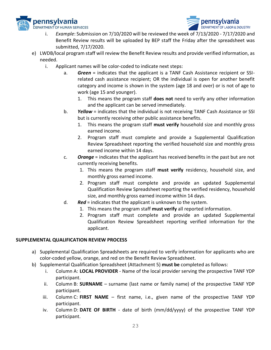



- i. *Example*: Submission on 7/10/2020 will be reviewed the week of 7/13/2020 7/17/2020 and Benefit Review results will be uploaded by BEP staff the Friday after the spreadsheet was submitted, 7/17/2020.
- e) LWDB/local program staff will review the Benefit Review results and provide verified information, as needed.
	- i. Applicant names will be color-coded to indicate next steps:
		- a. *Green* = indicates that the applicant is a TANF Cash Assistance recipient or SSIrelated cash assistance recipient; OR the individual is open for another benefit category and income is shown in the system (age 18 and over) or is not of age to work (age 15 and younger).
			- 1. This means the program staff **does not** need to verify any other information and the applicant can be served immediately.
		- b. *Yellow* = indicates that the individual is not receiving TANF Cash Assistance or SSI but is currently receiving other public assistance benefits.
			- 1. This means the program staff **must verify** household size and monthly gross earned income.
			- 2. Program staff must complete and provide a Supplemental Qualification Review Spreadsheet reporting the verified household size and monthly gross earned income within 14 days.
		- c. *Orange* = indicates that the applicant has received benefits in the past but are not currently receiving benefits.
			- 1. This means the program staff **must verify** residency, household size, and monthly gross earned income.
			- 2. Program staff must complete and provide an updated Supplemental Qualification Review Spreadsheet reporting the verified residency, household size, and monthly gross earned income within 14 days.
		- d. *Red* = indicates that the applicant is unknown to the system.
			- 1. This means the program staff **must verify** all reported information.
			- 2. Program staff must complete and provide an updated Supplemental Qualification Review Spreadsheet reporting verified information for the applicant.

#### **SUPPLEMENTAL QUALIFICATION REVIEW PROCESS**

- a) Supplemental Qualification Spreadsheets are required to verify information for applicants who are color-coded yellow, orange, and red on the Benefit Review Spreadsheet.
- b) Supplemental Qualification Spreadsheet (Attachment 5) **must be** completed as follows:
	- i. Column A: **LOCAL PROVIDER** Name of the local provider serving the prospective TANF YDP participant.
	- ii. Column B: **SURNAME** surname (last name or family name) of the prospective TANF YDP participant.
	- iii. Column C: **FIRST NAME** first name, i.e., given name of the prospective TANF YDP participant.
	- iv. Column D: **DATE OF BIRTH** date of birth (mm/dd/yyyy) of the prospective TANF YDP participant.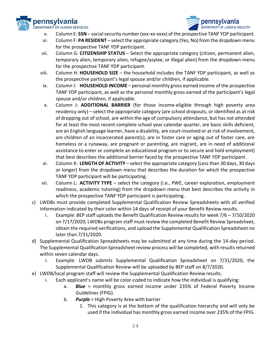



- v. Column E: **SSN** social security number (xxx-xx-xxxx) of the prospective TANF YDP participant.
- vi. Column F: **PA RESIDENT** select the appropriate category (Yes, No) from the dropdown menu for the prospective TANF YDP participant.
- vii. Column G: **CITIZENSHIP STATUS** Select the appropriate category (citizen, permanent alien, temporary alien, temporary alien, refugee/asylee, or illegal alien) from the dropdown menu for the prospective TANF YDP participant.
- viii. Column H: **HOUSEHOLD SIZE** the household includes the TANF YDP participant, as well as the prospective participant's legal spouse and/or children, if applicable.
- ix. Column I: **HOUSEHOLD INCOME** personal monthly gross earned income of the prospective TANF YDP participant, as well as the personal monthly gross earned of the participant's legal spouse and/or children, if applicable.
- x. Column J: **ADDITIONAL BARRIER** (for those income-eligible through high poverty area residency only) – select the appropriate category (are school dropouts, or identified as at risk of dropping out of school, are within the age of compulsory attendance, but has not attended for at least the most recent complete school year calendar quarter, are basic skills deficient, are an English language learner, have a disability, are court-involved or at risk of involvement, are children of an incarcerated parent(s), are in foster care or aging out of foster care, are homeless or a runaway, are pregnant or parenting, are migrant, are in need of additional assistance to enter or complete an educational program or to secure and hold employment) that best describes the additional barrier faced by the prospective TANF YDP participant.
- xi. Column K: **LENGTH OF ACTIVITY** select the appropriate category (Less than 30 days, 30 days or longer) from the dropdown menu that describes the duration for which the prospective TANF YDP participant will be participating.
- xii. Column L: **ACTIVITY TYPE** select the category (i.e., PWE, career exploration, employment readiness, academic tutoring) from the dropdown menu that best describes the activity in which the prospective TANF YDP participant is participating.
- c) LWDBs must provide completed Supplemental Qualification Review Spreadsheets with all verified information indicated by their color within 14 days of receipt of your Benefit Review results.
	- i. Example: BEP staff uploads the Benefit Qualification Review results for week  $7/6 7/10/2020$ on 7/17/2020, LWDBs program staff must review the completed Benefit Review Spreadsheet, obtain the required verifications, and upload the Supplemental Qualification Spreadsheet no later than 7/31/2020.
- d) Supplemental Qualification Spreadsheets may be submitted at any time during the 14-day period. The Supplemental Qualification Spreadsheet review process will be completed, with results returned within seven calendar days.
	- i. Example: LWDB submits Supplemental Qualification Spreadsheet on 7/31/2020, the Supplemental Qualification Review will be uploaded by BEP staff on 8/7/2020.
- e) LWDB/local program staff will review the Supplemental Qualification Review results.
	- i. Each applicant's name will be color-coded to indicate how the individual is qualifying:
		- a. *Blue* = monthly gross earned income under 235% of Federal Poverty Income Guidelines (FPIG).
		- b. *Purple* = High Poverty Area with barrier
			- 1. This category is at the bottom of the qualification hierarchy and will only be used if the individual has monthly gross earned income over 235% of the FPIG.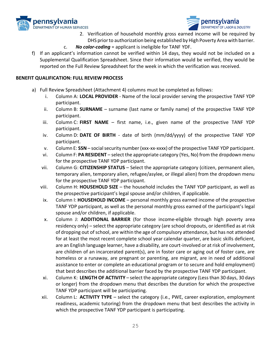



- 2. Verification of household monthly gross earned income will be required by DHS prior to authorization being established by High Poverty Area with barrier.
- c. *No color-coding* = applicant is ineligible for TANF YDF.
- f) If an applicant's information cannot be verified within 14 days, they would not be included on a Supplemental Qualification Spreadsheet. Since their information would be verified, they would be reported on the Full Review Spreadsheet for the week in which the verification was received.

#### **BENEFIT QUALIFICATION: FULL REVIEW PROCESS**

- a) Full Review Spreadsheet (Attachment 4) columns must be completed as follows:
	- i. Column A: **LOCAL PROVIDER** Name of the local provider serving the prospective TANF YDP participant.
	- ii. Column B: **SURNAME** surname (last name or family name) of the prospective TANF YDP participant.
	- iii. Column C: **FIRST NAME** first name, i.e., given name of the prospective TANF YDP participant.
	- iv. Column D: **DATE OF BIRTH** date of birth (mm/dd/yyyy) of the prospective TANF YDP participant.
	- v. Column E: **SSN** social security number (xxx-xx-xxxx) of the prospective TANF YDP participant.
	- vi. Column F: **PA RESIDENT** select the appropriate category (Yes, No) from the dropdown menu for the prospective TANF YDP participant.
	- vii. Column G: **CITIZENSHIP STATUS** Select the appropriate category (citizen, permanent alien, temporary alien, temporary alien, refugee/asylee, or illegal alien) from the dropdown menu for the prospective TANF YDP participant.
	- viii. Column H: **HOUSEHOLD SIZE** the household includes the TANF YDP participant, as well as the prospective participant's legal spouse and/or children, if applicable.
	- ix. Column I: **HOUSEHOLD INCOME** personal monthly gross earned income of the prospective TANF YDP participant, as well as the personal monthly gross earned of the participant's legal spouse and/or children, if applicable.
	- x. Column J: **ADDITIONAL BARRIER** (for those income-eligible through high poverty area residency only) – select the appropriate category (are school dropouts, or identified as at risk of dropping out of school, are within the age of compulsory attendance, but has not attended for at least the most recent complete school year calendar quarter, are basic skills deficient, are an English language learner, have a disability, are court-involved or at risk of involvement, are children of an incarcerated parent(s), are in foster care or aging out of foster care, are homeless or a runaway, are pregnant or parenting, are migrant, are in need of additional assistance to enter or complete an educational program or to secure and hold employment) that best describes the additional barrier faced by the prospective TANF YDP participant.
	- xi. Column K: **LENGTH OF ACTIVITY** select the appropriate category (Less than 30 days, 30 days or longer) from the dropdown menu that describes the duration for which the prospective TANF YDP participant will be participating.
	- xii. Column L: **ACTIVITY TYPE** select the category (i.e., PWE, career exploration, employment readiness, academic tutoring) from the dropdown menu that best describes the activity in which the prospective TANF YDP participant is participating.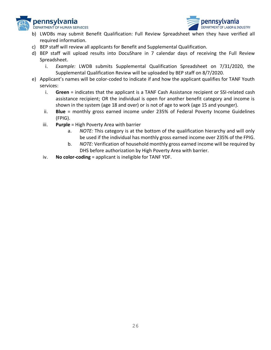



- b) LWDBs may submit Benefit Qualification: Full Review Spreadsheet when they have verified all required information.
- c) BEP staff will review all applicants for Benefit and Supplemental Qualification.
- d) BEP staff will upload results into DocuShare in 7 calendar days of receiving the Full Review Spreadsheet.
	- i. *Example:* LWDB submits Supplemental Qualification Spreadsheet on 7/31/2020, the Supplemental Qualification Review will be uploaded by BEP staff on 8/7/2020.
- e) Applicant's names will be color-coded to indicate if and how the applicant qualifies for TANF Youth services:
	- i. **Green** = indicates that the applicant is a TANF Cash Assistance recipient or SSI-related cash assistance recipient; OR the individual is open for another benefit category and income is shown in the system (age 18 and over) or is not of age to work (age 15 and younger).
	- ii. **Blue** = monthly gross earned income under 235% of Federal Poverty Income Guidelines (FPIG).
	- iii. **Purple** = High Poverty Area with barrier
		- a. *NOTE:* This category is at the bottom of the qualification hierarchy and will only be used if the individual has monthly gross earned income over 235% of the FPIG.
		- b. *NOTE:* Verification of household monthly gross earned income will be required by DHS before authorization by High Poverty Area with barrier.
	- iv. **No color-coding** = applicant is ineligible for TANF YDF.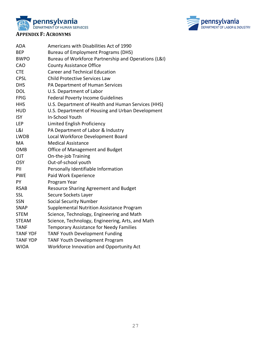



#### **APPENDIX F: ACRONYMS**

| <b>ADA</b><br><b>BEP</b><br><b>BWPO</b><br>CAO<br><b>CTE</b><br><b>CPSL</b><br><b>DHS</b><br><b>DOL</b> | Americans with Disabilities Act of 1990<br><b>Bureau of Employment Programs (DHS)</b><br>Bureau of Workforce Partnership and Operations (L&I)<br><b>County Assistance Office</b><br><b>Career and Technical Education</b><br><b>Child Protective Services Law</b><br>PA Department of Human Services<br>U.S. Department of Labor |
|---------------------------------------------------------------------------------------------------------|----------------------------------------------------------------------------------------------------------------------------------------------------------------------------------------------------------------------------------------------------------------------------------------------------------------------------------|
| <b>FPIG</b>                                                                                             | <b>Federal Poverty Income Guidelines</b>                                                                                                                                                                                                                                                                                         |
| <b>HHS</b>                                                                                              | U.S. Department of Health and Human Services (HHS)                                                                                                                                                                                                                                                                               |
| <b>HUD</b>                                                                                              | U.S. Department of Housing and Urban Development                                                                                                                                                                                                                                                                                 |
| <b>ISY</b>                                                                                              | <b>In-School Youth</b>                                                                                                                                                                                                                                                                                                           |
| LEP                                                                                                     | Limited English Proficiency                                                                                                                                                                                                                                                                                                      |
| <b>L&amp;I</b>                                                                                          | PA Department of Labor & Industry                                                                                                                                                                                                                                                                                                |
| <b>LWDB</b>                                                                                             | Local Workforce Development Board                                                                                                                                                                                                                                                                                                |
| MA                                                                                                      | <b>Medical Assistance</b>                                                                                                                                                                                                                                                                                                        |
| <b>OMB</b>                                                                                              | Office of Management and Budget                                                                                                                                                                                                                                                                                                  |
| OJT                                                                                                     | On-the-job Training                                                                                                                                                                                                                                                                                                              |
| <b>OSY</b>                                                                                              | Out-of-school youth                                                                                                                                                                                                                                                                                                              |
| PII                                                                                                     | Personally Identifiable Information                                                                                                                                                                                                                                                                                              |
| <b>PWE</b>                                                                                              | Paid Work Experience                                                                                                                                                                                                                                                                                                             |
| <b>PY</b>                                                                                               | Program Year                                                                                                                                                                                                                                                                                                                     |
| <b>RSAB</b>                                                                                             | <b>Resource Sharing Agreement and Budget</b>                                                                                                                                                                                                                                                                                     |
| <b>SSL</b>                                                                                              | Secure Sockets Layer                                                                                                                                                                                                                                                                                                             |
| <b>SSN</b>                                                                                              | <b>Social Security Number</b>                                                                                                                                                                                                                                                                                                    |
| <b>SNAP</b>                                                                                             | Supplemental Nutrition Assistance Program                                                                                                                                                                                                                                                                                        |
| <b>STEM</b>                                                                                             | Science, Technology, Engineering and Math                                                                                                                                                                                                                                                                                        |
| <b>STEAM</b>                                                                                            | Science, Technology, Engineering, Arts, and Math                                                                                                                                                                                                                                                                                 |
| <b>TANF</b>                                                                                             | <b>Temporary Assistance for Needy Families</b>                                                                                                                                                                                                                                                                                   |
| <b>TANF YDF</b>                                                                                         | <b>TANF Youth Development Funding</b>                                                                                                                                                                                                                                                                                            |
| <b>TANF YDP</b>                                                                                         | <b>TANF Youth Development Program</b>                                                                                                                                                                                                                                                                                            |
| <b>WIOA</b>                                                                                             | Workforce Innovation and Opportunity Act                                                                                                                                                                                                                                                                                         |